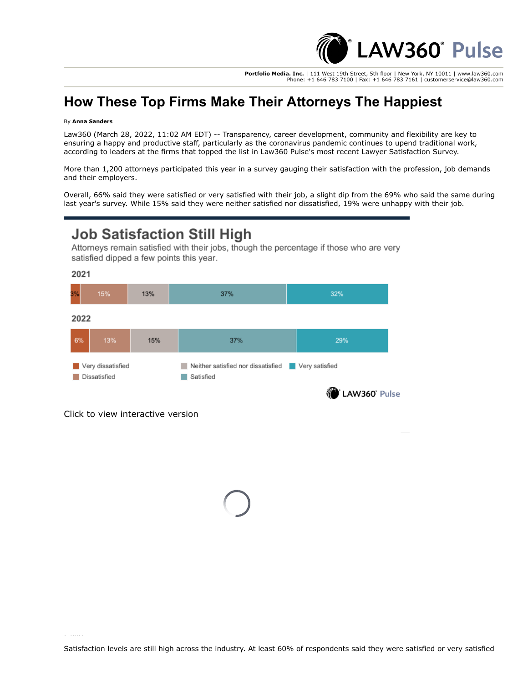

**Portfolio Media. Inc.** | 111 West 19th Street, 5th floor | New York, NY 10011 | www.law360.com Phone: +1 646 783 7100 | Fax: +1 646 783 7161 | customerservice@law360.com

## **How These Top Firms Make Their Attorneys The Happiest**

## By **Anna Sanders**

Law360 (March 28, 2022, 11:02 AM EDT) -- Transparency, career development, community and flexibility are key to ensuring a happy and productive staff, particularly as the coronavirus pandemic continues to upend traditional work, according to leaders at the firms that topped the list in Law360 Pulse's most recent Lawyer Satisfaction Survey.

More than 1,200 attorneys participated this year in a survey gauging their satisfaction with the profession, job demands and their employers.

Overall, 66% said they were satisfied or very satisfied with their job, a slight dip from the 69% who said the same during last year's survey. While 15% said they were neither satisfied nor dissatisfied, 19% were unhappy with their job.

## **Job Satisfaction Still High**

Attorneys remain satisfied with their jobs, though the percentage if those who are very satisfied dipped a few points this year.

2021

| 3%                                | 15% | 13% | 37%                                             | 32%                             |
|-----------------------------------|-----|-----|-------------------------------------------------|---------------------------------|
| 2022                              |     |     |                                                 |                                 |
| 6%                                | 13% | 15% | 37%                                             | 29%                             |
| Very dissatisfied<br>Dissatisfied |     |     | Neither satisfied nor dissatisfied<br>Satisfied | Very satisfied<br>LAW360' Pulse |

Click to view interactive version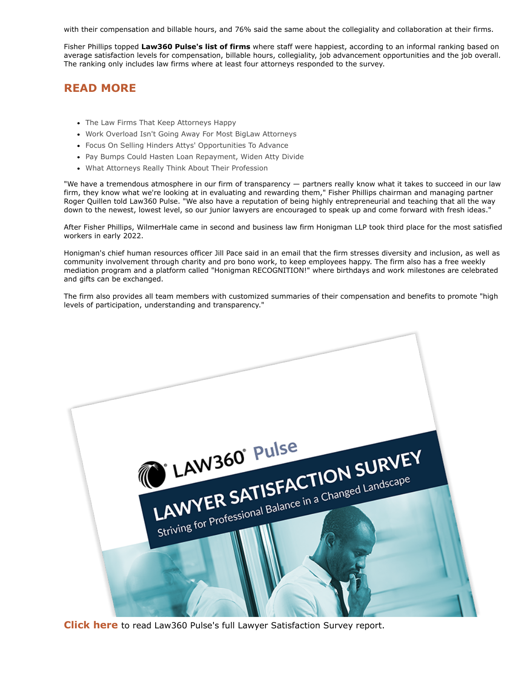with their compensation and billable hours, and 76% said the same about the collegiality and collaboration at their firms.

[Fisher Phillips](https://www.law360.com/firms/fisher-phillips) topped **[Law360 Pulse's list of firms](https://www.law360.com/articles/1474719)** where staff were happiest, according to an informal ranking based on average satisfaction levels for compensation, billable hours, collegiality, job advancement opportunities and the job overall. The ranking only includes law firms where at least four attorneys responded to the survey.

## **READ MORE**

- [The Law Firms That Keep Attorneys Happy](https://www.law360.com/pulse/articles/1474719)
- [Work Overload Isn't Going Away For Most BigLaw Attorneys](https://www.law360.com/pulse/articles/1472473)
- [Focus On Selling Hinders Attys' Opportunities To Advance](https://www.law360.com/pulse/articles/1474320)
- [Pay Bumps Could Hasten Loan Repayment, Widen Atty Divide](https://www.law360.com/pulse/articles/1476427)
- [What Attorneys Really Think About Their Profession](https://www.law360.com/pulse/articles/1476256)

"We have a tremendous atmosphere in our firm of transparency — partners really know what it takes to succeed in our law firm, they know what we're looking at in evaluating and rewarding them," Fisher Phillips chairman and managing partner Roger Quillen told Law360 Pulse. "We also have a reputation of being highly entrepreneurial and teaching that all the way down to the newest, lowest level, so our junior lawyers are encouraged to speak up and come forward with fresh ideas."

After Fisher Phillips, [WilmerHale](https://www.law360.com/firms/wilmerhale) came in second and business law firm [Honigman LLP](https://www.law360.com/firms/honigman-llp) took third place for the most satisfied workers in early 2022.

Honigman's chief human resources officer Jill Pace said in an email that the firm stresses diversity and inclusion, as well as community involvement through charity and pro bono work, to keep employees happy. The firm also has a free weekly mediation program and a platform called "Honigman RECOGNITION!" where birthdays and work milestones are celebrated and gifts can be exchanged.

The firm also provides all team members with customized summaries of their compensation and benefits to promote "high levels of participation, understanding and transparency."



**[Click here](https://assets.law360news.com/1476000/1476510/law360%20pulse%20lawyer%20satisfaction%20survey%202022.pdf)** to read Law360 Pulse's full Lawyer Satisfaction Survey report.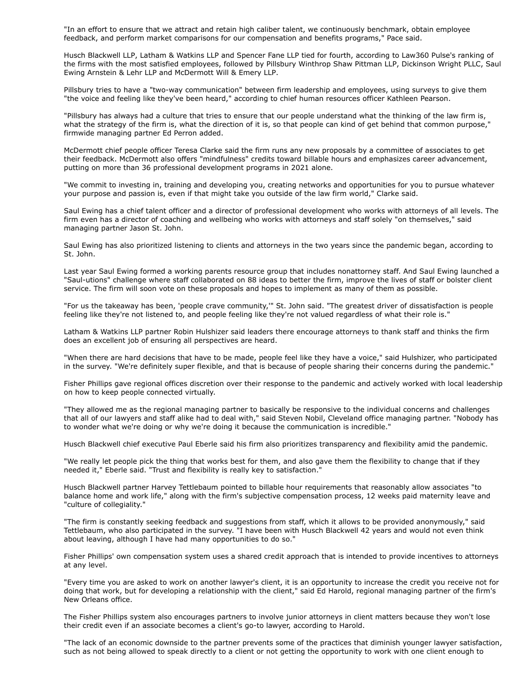"In an effort to ensure that we attract and retain high caliber talent, we continuously benchmark, obtain employee feedback, and perform market comparisons for our compensation and benefits programs," Pace said.

[Husch Blackwell LLP](https://www.law360.com/firms/husch-blackwell), [Latham & Watkins LLP](https://www.law360.com/firms/latham-watkins) and [Spencer Fane LLP](https://www.law360.com/firms/spencer-fane) tied for fourth, according to Law360 Pulse's ranking of [the firms with the most satisfied employees, followed by](https://www.law360.com/firms/saul-ewing) [Pillsbury Winthrop Shaw Pittman LL](https://www.law360.com/firms/pillsbury-winthrop)[P, D](https://www.law360.com/firms/saul-ewing)[ickinson Wright PLLC](https://www.law360.com/firms/dickinson-wright)[, Saul](https://www.law360.com/firms/saul-ewing) Ewing Arnstein & Lehr LLP and [McDermott Will & Emery LLP](https://www.law360.com/firms/mcdermott-will).

Pillsbury tries to have a "two-way communication" between firm leadership and employees, using surveys to give them "the voice and feeling like they've been heard," according to chief human resources officer Kathleen Pearson.

"Pillsbury has always had a culture that tries to ensure that our people understand what the thinking of the law firm is, what the strategy of the firm is, what the direction of it is, so that people can kind of get behind that common purpose," firmwide managing partner Ed Perron added.

McDermott chief people officer Teresa Clarke said the firm runs any new proposals by a committee of associates to get their feedback. McDermott also offers "mindfulness" credits toward billable hours and emphasizes career advancement, putting on more than 36 professional development programs in 2021 alone.

"We commit to investing in, training and developing you, creating networks and opportunities for you to pursue whatever your purpose and passion is, even if that might take you outside of the law firm world," Clarke said.

Saul Ewing has a chief talent officer and a director of professional development who works with attorneys of all levels. The firm even has a director of coaching and wellbeing who works with attorneys and staff solely "on themselves," said managing partner Jason St. John.

Saul Ewing has also prioritized listening to clients and attorneys in the two years since the pandemic began, according to St. John.

Last year Saul Ewing formed a working parents resource group that includes nonattorney staff. And Saul Ewing launched a "Saul-utions" challenge where staff collaborated on 88 ideas to better the firm, improve the lives of staff or bolster client service. The firm will soon vote on these proposals and hopes to implement as many of them as possible.

"For us the takeaway has been, 'people crave community,'" St. John said. "The greatest driver of dissatisfaction is people feeling like they're not listened to, and people feeling like they're not valued regardless of what their role is."

Latham & Watkins LLP partner Robin Hulshizer said leaders there encourage attorneys to thank staff and thinks the firm does an excellent job of ensuring all perspectives are heard.

"When there are hard decisions that have to be made, people feel like they have a voice," said Hulshizer, who participated in the survey. "We're definitely super flexible, and that is because of people sharing their concerns during the pandemic."

Fisher Phillips gave regional offices discretion over their response to the pandemic and actively worked with local leadership on how to keep people connected virtually.

"They allowed me as the regional managing partner to basically be responsive to the individual concerns and challenges that all of our lawyers and staff alike had to deal with," said Steven Nobil, Cleveland office managing partner. "Nobody has to wonder what we're doing or why we're doing it because the communication is incredible."

Husch Blackwell chief executive Paul Eberle said his firm also prioritizes transparency and flexibility amid the pandemic.

"We really let people pick the thing that works best for them, and also gave them the flexibility to change that if they needed it," Eberle said. "Trust and flexibility is really key to satisfaction."

Husch Blackwell partner Harvey Tettlebaum pointed to billable hour requirements that reasonably allow associates "to balance home and work life," along with the firm's subjective compensation process, 12 weeks paid maternity leave and "culture of collegiality."

"The firm is constantly seeking feedback and suggestions from staff, which it allows to be provided anonymously," said Tettlebaum, who also participated in the survey. "I have been with Husch Blackwell 42 years and would not even think about leaving, although I have had many opportunities to do so."

Fisher Phillips' own compensation system uses a shared credit approach that is intended to provide incentives to attorneys at any level.

"Every time you are asked to work on another lawyer's client, it is an opportunity to increase the credit you receive not for doing that work, but for developing a relationship with the client," said Ed Harold, regional managing partner of the firm's New Orleans office.

The Fisher Phillips system also encourages partners to involve junior attorneys in client matters because they won't lose their credit even if an associate becomes a client's go-to lawyer, according to Harold.

"The lack of an economic downside to the partner prevents some of the practices that diminish younger lawyer satisfaction, such as not being allowed to speak directly to a client or not getting the opportunity to work with one client enough to